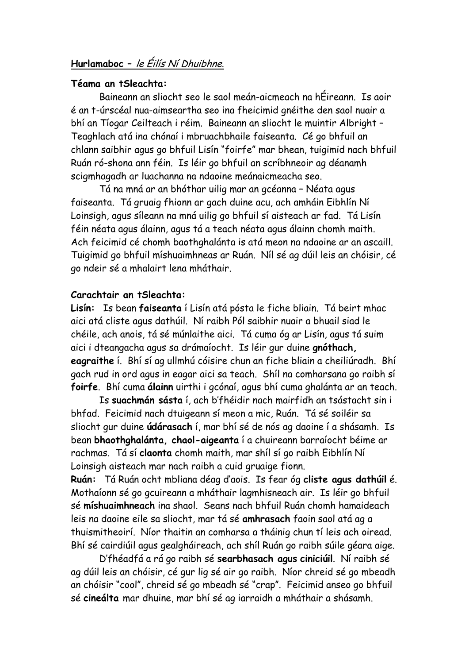# **Hurlamaboc –** le Éilís Ní Dhuibhne.

## **Téama an tSleachta:**

Baineann an sliocht seo le saol meán-aicmeach na hÉireann. Is aoir é an t-úrscéal nua-aimseartha seo ina fheicimid gnéithe den saol nuair a bhí an Tíogar Ceilteach i réim. Baineann an sliocht le muintir Albright – Teaghlach atá ina chónaí i mbruachbhaile faiseanta. Cé go bhfuil an chlann saibhir agus go bhfuil Lisín "foirfe" mar bhean, tuigimid nach bhfuil Ruán ró-shona ann féin. Is léir go bhfuil an scríbhneoir ag déanamh scigmhagadh ar luachanna na ndaoine meánaicmeacha seo.

Tá na mná ar an bhóthar uilig mar an gcéanna – Néata agus faiseanta. Tá gruaig fhionn ar gach duine acu, ach amháin Eibhlín Ní Loinsigh, agus síleann na mná uilig go bhfuil sí aisteach ar fad. Tá Lisín féin néata agus álainn, agus tá a teach néata agus álainn chomh maith. Ach feicimid cé chomh baothghalánta is atá meon na ndaoine ar an ascaill. Tuigimid go bhfuil míshuaimhneas ar Ruán. Níl sé ag dúil leis an chóisir, cé go ndeir sé a mhalairt lena mháthair.

## **Carachtair an tSleachta:**

**Lisín:** Is bean **faiseanta** í Lisín atá pósta le fiche bliain. Tá beirt mhac aici atá cliste agus dathúil. Ní raibh Pól saibhir nuair a bhuail siad le chéile, ach anois, tá sé múnlaithe aici. Tá cuma óg ar Lisín, agus tá suim aici i dteangacha agus sa drámaíocht. Is léir gur duine **gnóthach, eagraithe** í. Bhí sí ag ullmhú cóisire chun an fiche bliain a cheiliúradh. Bhí gach rud in ord agus in eagar aici sa teach. Shíl na comharsana go raibh sí **foirfe**. Bhí cuma **álainn** uirthi i gcónaí, agus bhí cuma ghalánta ar an teach.

Is **suachmán sásta** í, ach b'fhéidir nach mairfidh an tsástacht sin i bhfad. Feicimid nach dtuigeann sí meon a mic, Ruán. Tá sé soiléir sa sliocht gur duine **údárasach** í, mar bhí sé de nós ag daoine í a shásamh. Is bean **bhaothghalánta, chaol-aigeanta** í a chuireann barraíocht béime ar rachmas. Tá sí **claonta** chomh maith, mar shíl sí go raibh Eibhlín Ní Loinsigh aisteach mar nach raibh a cuid gruaige fionn.

**Ruán:** Tá Ruán ocht mbliana déag d'aois. Is fear óg **cliste agus dathúil** é. Mothaíonn sé go gcuireann a mháthair lagmhisneach air. Is léir go bhfuil sé **míshuaimhneach** ina shaol. Seans nach bhfuil Ruán chomh hamaideach leis na daoine eile sa sliocht, mar tá sé **amhrasach** faoin saol atá ag a thuismitheoirí. Níor thaitin an comharsa a tháinig chun tí leis ach oiread. Bhí sé cairdiúil agus gealgháireach, ach shíl Ruán go raibh súile géara aige.

D'fhéadfá a rá go raibh sé **searbhasach agus ciniciúil**. Ní raibh sé ag dúil leis an chóisir, cé gur lig sé air go raibh. Níor chreid sé go mbeadh an chóisir "cool", chreid sé go mbeadh sé "crap". Feicimid anseo go bhfuil sé **cineálta** mar dhuine, mar bhí sé ag iarraidh a mháthair a shásamh.